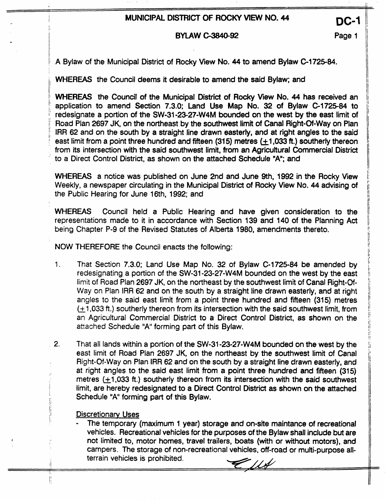# **DC-1 <b>DISTRICT OF ROCKY VIEW NO. 44**

#### **BYLAW C-3840-92 Page 1**

A **Bylaw** of the Municipal District of Rocky View No. 44 to amend Bylaw **C-1725-84.** 

WHEREAS the Council deems it desirable to amend the said Bylaw; and

WHEREAS the Council of the Municipal District of Rocky View No. 44 has received an application to amend Section **7.3.0;** Land Use Map No. **32** of Bylaw **C-1725-84** to redesignate a portion of the SW-31-23-27-W4M bounded on the west by the east limit of Road Plan 2697 JK, on the northeast by the southwest limit of Canal Right-Of-Way on Plan IRR 62 and on the south by a straight line drawn easterly, and at right angles to the said east limit from a point three hundred and fifteen (315) metres  $(+1,033$  ft.) southerly thereon from its intersection with the said southwest limit, from **an** Agricuttural Commercial District to a Direct Control District, **as** shown on the attached Schedule **"A";** and

WHEREAS a notice was published on June 2nd and June 9th, **1992** in the Rocky View Weekly, a newspaper circulating in the Municipal District of Rocky View No. **44** advising of the Public Hearing for June 16th, **1992;** and

**WHEREAS** Council held a Public Hearing and have given consideration to the representations made to it in accordance with Section **139** and 140 **of** the Planning Act being Chapter **P-9** of the Revised Statutes of Alberta 1980, amendments thereto.

NOW **THEREFORE** the Council enacts the following:

- 1. That Section **7.3.0;** Land Use Map No. **32** of Bylaw **C-1725-84** be amended by redesignating a portion of the **SW131-23-27-W4M** bounded on **the** west by the east limit of Road Pian 2697 JK, on the northeast by the southwest limit of Canal Right-Of-Way **on** Pian IRR 62 and on the south by a straight line drawn easterly, and at right angles to the said east limit from a point three hundred and fifteen (315) metres **&1,033** ft.) southerly thereon from its intersection with the said southwest limit, from an Agricultural Commercial District to a Direct Control District, as shown on the attached Schedule "A' forming part of this Bylaw.
- **2.**  That all lands within a portion of the **SW-31-23-27-W4M** bounded on the west by the east limit of Road Plan 2697 JK, on the northeast **by** the southwest limit of Canal Right-Of-Way on Plan IRR 62 and on the south by a straight line drawn easterly, and at right angles to the said east limit from a point three hundred and ffieen (315) metres **(+1,033** ft.) southerly thereon from its intersection with the said southwest limit, are hereby redesignated to a Direct Control District as shown on the attached Schedule "A" forming part of this Bylaw.

#### Discretionarv Uses

*c* 

/I

- The temporary (maximum **1** year) storage and on-site maintance of recreational vehicles. Recreational vehicles for the purposes of the Bylaw shall include but are not limited to, motor homes, travel trailers, boats **(with** or without motors), and campers. The storage of non-recreational vehicles, off-road or mutti-purpose all terrain vehicles is prohibited.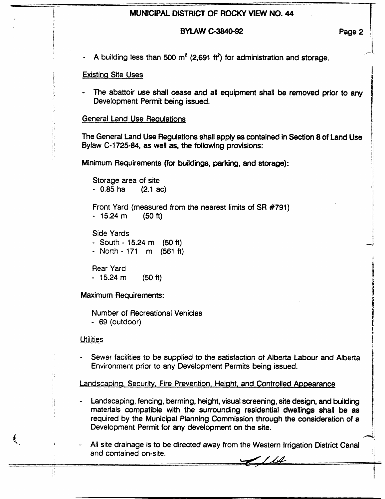## **MUNICIPAL DISTRICT OF ROCKY VIEW NO. 44**

#### **BYLAW C-3840-92 Page 2**

<u>ا</u><br>ا

1-

/j

A building less than 500  $m^2$  (2,691 ft<sup>2</sup>) for administration and storage.

#### **Existing Site Uses**

1,

I I

! i:

**I I**  Ë, The abattoir use shall cease and all equipment shall be removed prior to any Development Permit being issued.

#### **General Land Use Regulations**

**<sup>f</sup>**The General Land Use Regulations shall apply as contained in **Section** 8 of Land Use Bylaw C-1725-84, as well as, the following provisions:

Minimum Requirements (for buildings, parking, **and** storage):

Storage area of site  $-0.85$  ha  $(2.1$  ac)

Front Yard (measured from the nearest limits of SR **#791)**  - **15.24** m **(50** ft)

Side Yards - South - 15.24 m (50 ft) - North - **171** rn (561 *ft)* 

Rear Yard - 15.24 m **(50** ft)

Maximum Requirements:

Number of Recreational Vehicles - 69 (outdoor)

**Utilities** 

**I'**  I\*

*I* I

Sewer faciiities to be supplied to **the** satisfaction of Alberta Labour and Alberta Environment prior to any Development Permits being issued.

Landscaping. Security. Fire Prevention. Height. and Controlled Appearance

- Landscaping, fencing, berming, height, visual screening, site design, and building , materials compatible with the surrounding residential dwellings **shall** be as required by the Municipal Planning Commission through the consideration of a Development Permit for any development on the site.
- and contained on-site. All site drainage is to be directed away from the Western Irrigation District Canal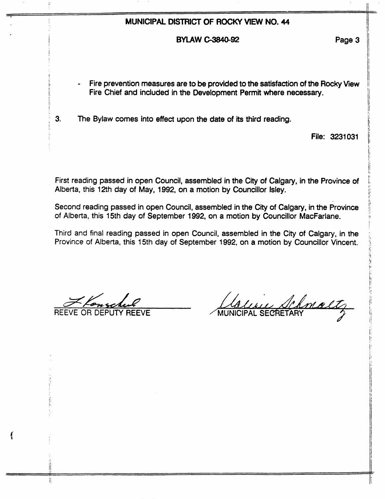# **MUNICIPAL DISTRICT OF ROCKY WRN NO. 44**

## BYLAW *c3840-92* Page **3**

- Fire prevention measures are to be provided to the satisfaction of **the Rocky** View Fire Chief and included in the Development Permit **where necessary.**
- <sup>I</sup>**3.** The Bylaw comes into effect upon the date of its third reading. I

File: **3231** 031

First reading passed in open Council, assembled in the City of Calgary, in the Province of Alberta, this 12th day of May, 1992, on a motion by Councillor Isley.

Second reading passed in open Council, assembled in the *City* of Calgary, in the Province of Alberta, this 15th day of September 1992, on a motion by Councillor MacFarlane.

Third **and** final reading **passed** in open Council, assembled in **the** City of Calgary, in the Province *of* Alberta, this 15th day of September 1992, on a motion by Councillor Vincent.

*cx2GcAb*  REEVE OR DEPUTY **REEVE** 

į. /I I i

!

Ħ

Chnaltz MUNICIPAL SECRETARY